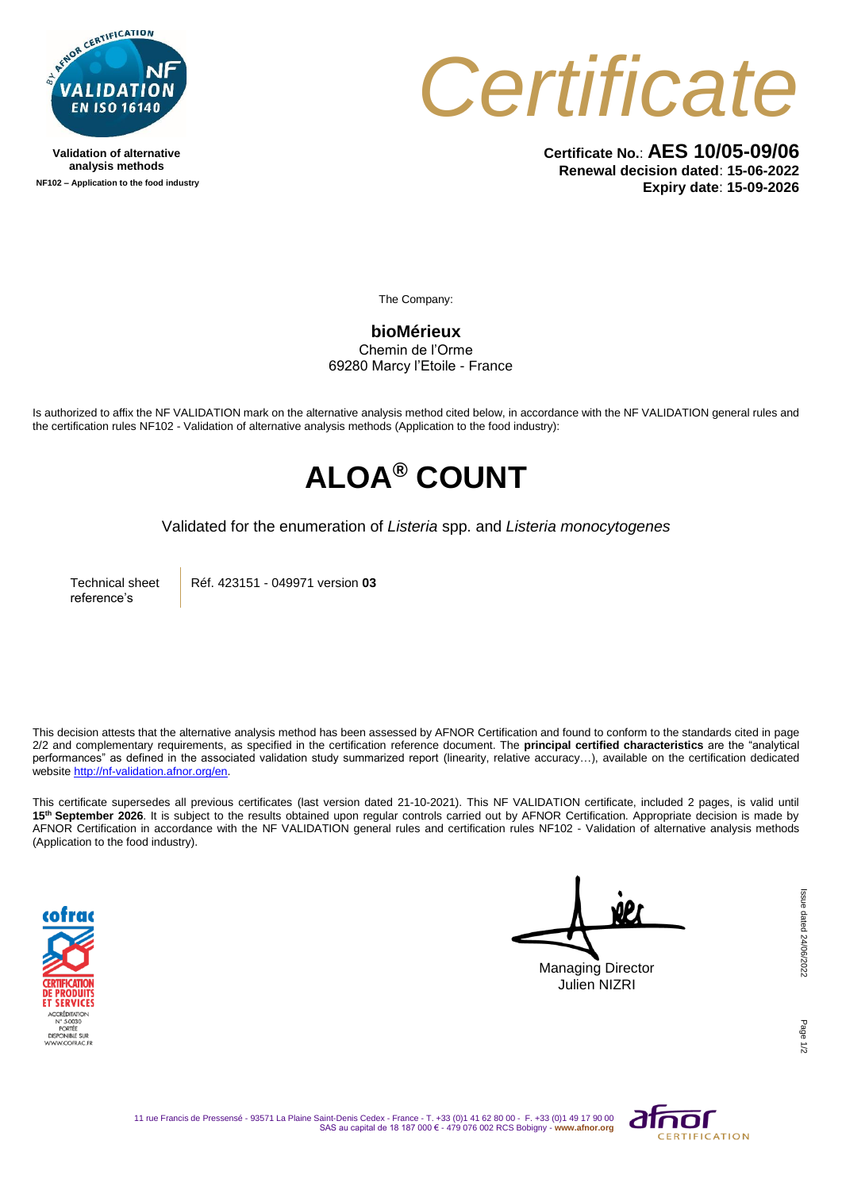

**Validation of alternative analysis methods NF102 – Application to the food industry**



**Certificate No.**: **AES 10/05-09/06 Renewal decision dated**: **15-06-2022 Expiry date**: **15-09-2026**

The Company:

**bioMérieux** Chemin de l'Orme 69280 Marcy l'Etoile - France

Is authorized to affix the NF VALIDATION mark on the alternative analysis method cited below, in accordance with the NF VALIDATION general rules and the certification rules NF102 - Validation of alternative analysis methods (Application to the food industry):

## **ALOA® COUNT**

Validated for the enumeration of *Listeria* spp. and *Listeria monocytogenes*

Technical sheet reference's

Réf. 423151 - 049971 version **03**

This decision attests that the alternative analysis method has been assessed by AFNOR Certification and found to conform to the standards cited in page 2/2 and complementary requirements, as specified in the certification reference document. The **principal certified characteristics** are the "analytical performances" as defined in the associated validation study summarized report (linearity, relative accuracy…), available on the certification dedicated websit[e http://nf-validation.afnor.org/en.](http://nf-validation.afnor.org/en)

This certificate supersedes all previous certificates (last version dated 21-10-2021). This NF VALIDATION certificate, included 2 pages, is valid until **15th September 2026**. It is subject to the results obtained upon regular controls carried out by AFNOR Certification. Appropriate decision is made by AFNOR Certification in accordance with the NF VALIDATION general rules and certification rules NF102 - Validation of alternative analysis methods (Application to the food industry).



Managing Director Julien NIZRI

Page